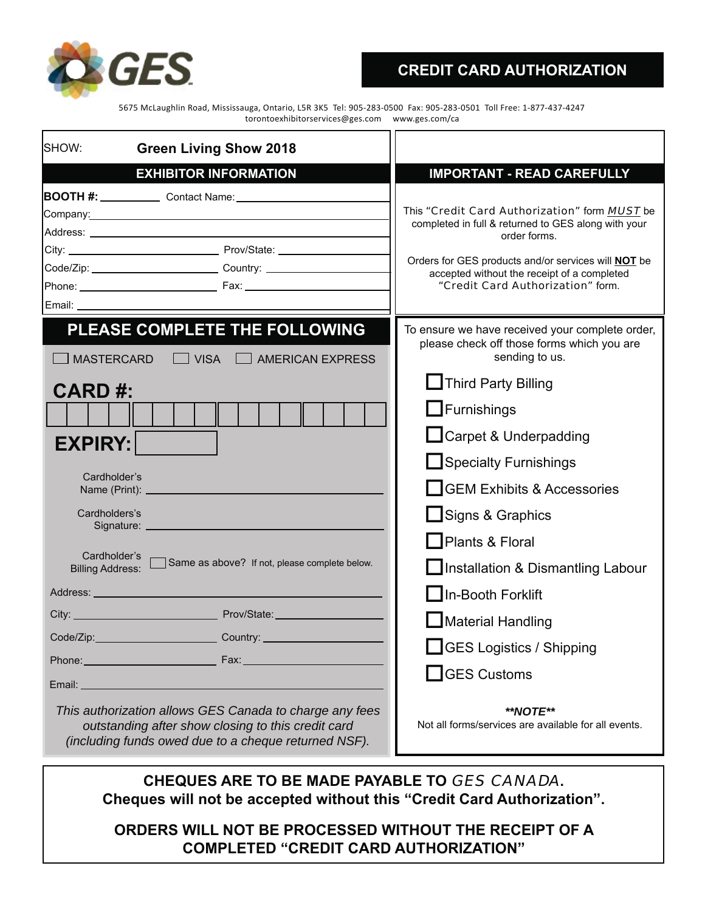

## **CREDIT CARD AUTHORIZATION**

5675 McLaughlin Road, Mississauga, Ontario, L5R 3K5 Tel: 905-283-0500 Fax: 905-283-0501 Toll Free: 1-877-437-4247 torontoexhibitorservices@ges.com www.ges.com/ca

| <b>Green Living Show 2018</b><br>SHOW:                                                                                                                                          |                                                                                                                                                                                                                                                                        |  |  |
|---------------------------------------------------------------------------------------------------------------------------------------------------------------------------------|------------------------------------------------------------------------------------------------------------------------------------------------------------------------------------------------------------------------------------------------------------------------|--|--|
| <b>EXHIBITOR INFORMATION</b>                                                                                                                                                    | <b>IMPORTANT - READ CAREFULLY</b>                                                                                                                                                                                                                                      |  |  |
| BOOTH #: ______________ Contact Name: __________________<br>Code/Zip: _________________________________Country: ____________________________                                    | This "Credit Card Authorization" form MUST be<br>completed in full & returned to GES along with your<br>order forms.<br>Orders for GES products and/or services will <b>NOT</b> be<br>accepted without the receipt of a completed<br>"Credit Card Authorization" form. |  |  |
| PLEASE COMPLETE THE FOLLOWING<br><b>MASTERCARD</b><br><b>VISA</b><br><b>AMERICAN EXPRESS</b>                                                                                    | To ensure we have received your complete order,<br>please check off those forms which you are<br>sending to us.                                                                                                                                                        |  |  |
| <b>CARD#:</b>                                                                                                                                                                   | Third Party Billing                                                                                                                                                                                                                                                    |  |  |
|                                                                                                                                                                                 | $\Box$ Furnishings                                                                                                                                                                                                                                                     |  |  |
| <b>EXPIRY:</b>                                                                                                                                                                  | Carpet & Underpadding<br>Specialty Furnishings                                                                                                                                                                                                                         |  |  |
|                                                                                                                                                                                 |                                                                                                                                                                                                                                                                        |  |  |
| Cardholder's                                                                                                                                                                    | <b>GEM Exhibits &amp; Accessories</b><br><b>Signs &amp; Graphics</b><br>Plants & Floral                                                                                                                                                                                |  |  |
| Cardholders's                                                                                                                                                                   |                                                                                                                                                                                                                                                                        |  |  |
|                                                                                                                                                                                 |                                                                                                                                                                                                                                                                        |  |  |
| Cardholder's<br>Same as above? If not, please complete below.<br><b>Billing Address:</b>                                                                                        | Installation & Dismantling Labour                                                                                                                                                                                                                                      |  |  |
|                                                                                                                                                                                 | In-Booth Forklift                                                                                                                                                                                                                                                      |  |  |
|                                                                                                                                                                                 | Material Handling                                                                                                                                                                                                                                                      |  |  |
| Code/Zip:_______________________________Country: _______________________________                                                                                                | <b>SALACES</b> Logistics / Shipping                                                                                                                                                                                                                                    |  |  |
|                                                                                                                                                                                 | GES Customs                                                                                                                                                                                                                                                            |  |  |
| Email:<br>This authorization allows GES Canada to charge any fees<br>outstanding after show closing to this credit card<br>(including funds owed due to a cheque returned NSF). | **NOTE**<br>Not all forms/services are available for all events.                                                                                                                                                                                                       |  |  |

**CHEQUES ARE TO BE MADE PAYABLE TO** GES CANADA**. Cheques will not be accepted without this "Credit Card Authorization".**

**ORDERS WILL NOT BE PROCESSED WITHOUT THE RECEIPT OF A COMPLETED "CREDIT CARD AUTHORIZATION"**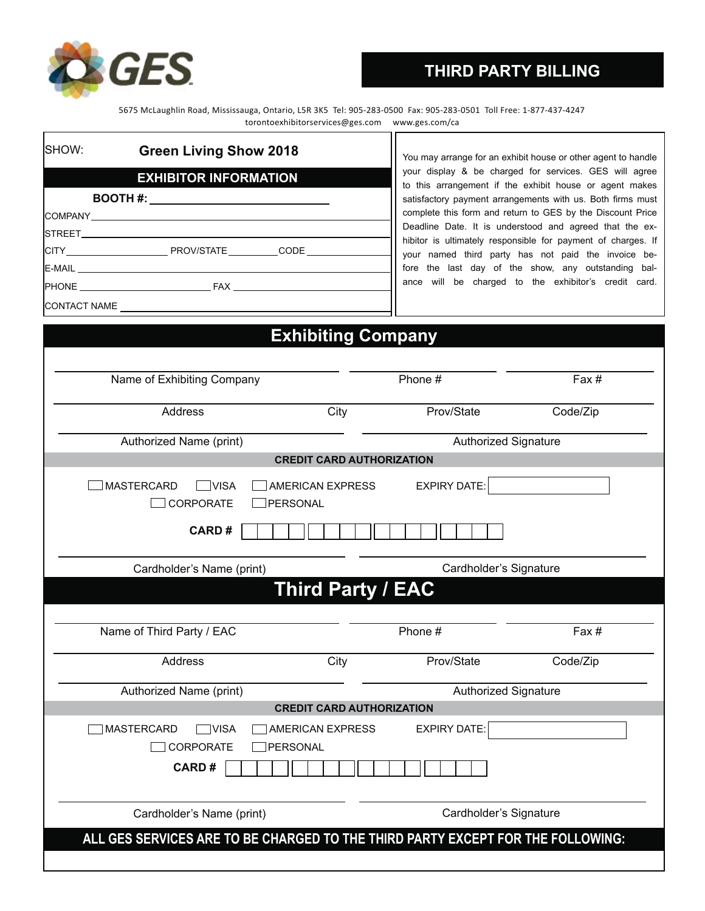

# **THIRD PARTY BILLING**

5675 McLaughlin Road, Mississauga, Ontario, L5R 3K5 Tel: 905-283-0500 Fax: 905-283-0501 Toll Free: 1-877-437-4247 torontoexhibitorservices@ges.com www.ges.com/ca

| SHOW:<br><b>Green Living Show 2018</b> |              |  |  |  |  |
|----------------------------------------|--------------|--|--|--|--|
| <b>EXHIBITOR INFORMATION</b>           |              |  |  |  |  |
|                                        |              |  |  |  |  |
|                                        |              |  |  |  |  |
|                                        |              |  |  |  |  |
|                                        |              |  |  |  |  |
|                                        |              |  |  |  |  |
|                                        |              |  |  |  |  |
|                                        | CONTACT NAME |  |  |  |  |

You may arrange for an exhibit house or other agent to handle your display & be charged for services. GES will agree to this arrangement if the exhibit house or agent makes satisfactory payment arrangements with us. Both firms must complete this form and return to GES by the Discount Price Deadline Date. It is understood and agreed that the exhibitor is ultimately responsible for payment of charges. If your named third party has not paid the invoice before the last day of the show, any outstanding balance will be charged to the exhibitor's credit card.

|                                                      | <b>Exhibiting Company</b>        |                     |                             |
|------------------------------------------------------|----------------------------------|---------------------|-----------------------------|
| Name of Exhibiting Company                           |                                  | Phone #             | Fax #                       |
| Address                                              | City                             | Prov/State          | Code/Zip                    |
| Authorized Name (print)                              |                                  |                     | <b>Authorized Signature</b> |
|                                                      | <b>CREDIT CARD AUTHORIZATION</b> |                     |                             |
| <b>MASTERCARD</b><br>AMERICAN EXPRESS<br><b>VISA</b> |                                  | <b>EXPIRY DATE:</b> |                             |
| <b>CORPORATE</b><br>PERSONAL                         |                                  |                     |                             |
| <b>CARD#</b>                                         |                                  |                     |                             |

Cardholder's Name (print) Cardholder's Signature

# **Third Party / EAC**

| Name of Third Party / EAC                                                                                                    |      | Phone #                     | Fax #    |  |  |
|------------------------------------------------------------------------------------------------------------------------------|------|-----------------------------|----------|--|--|
| Address                                                                                                                      | City | Prov/State                  | Code/Zip |  |  |
| Authorized Name (print)                                                                                                      |      | <b>Authorized Signature</b> |          |  |  |
| <b>CREDIT CARD AUTHORIZATION</b>                                                                                             |      |                             |          |  |  |
| <b>EXPIRY DATE:</b><br><b>MASTERCARD</b><br><b>VISA</b><br>AMERICAN EXPRESS<br>CORPORATE<br><b>IPERSONAL</b><br><b>CARD#</b> |      |                             |          |  |  |
| Cardholder's Name (print)                                                                                                    |      | Cardholder's Signature      |          |  |  |
| ALL GES SERVICES ARE TO BE CHARGED TO THE THIRD PARTY EXCEPT FOR THE FOLLOWING:                                              |      |                             |          |  |  |
|                                                                                                                              |      |                             |          |  |  |